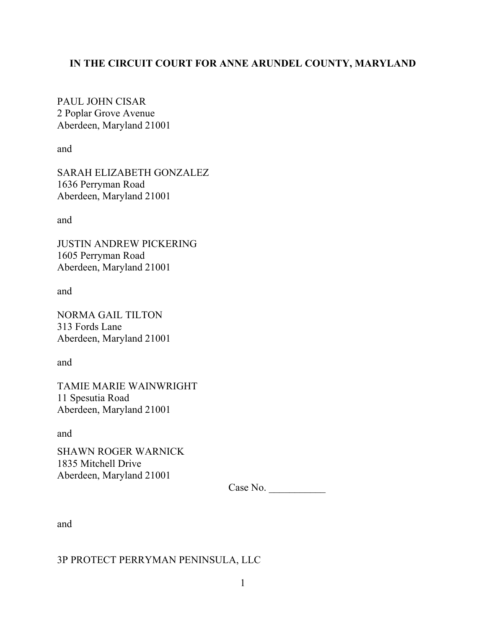## **IN THE CIRCUIT COURT FOR ANNE ARUNDEL COUNTY, MARYLAND**

PAUL JOHN CISAR 2 Poplar Grove Avenue Aberdeen, Maryland 21001

and

SARAH ELIZABETH GONZALEZ 1636 Perryman Road Aberdeen, Maryland 21001

and

JUSTIN ANDREW PICKERING 1605 Perryman Road Aberdeen, Maryland 21001

and

NORMA GAIL TILTON 313 Fords Lane Aberdeen, Maryland 21001

and

TAMIE MARIE WAINWRIGHT 11 Spesutia Road Aberdeen, Maryland 21001

and

SHAWN ROGER WARNICK 1835 Mitchell Drive Aberdeen, Maryland 21001

Case No. \_\_\_\_\_\_\_\_\_\_\_

and

### 3P PROTECT PERRYMAN PENINSULA, LLC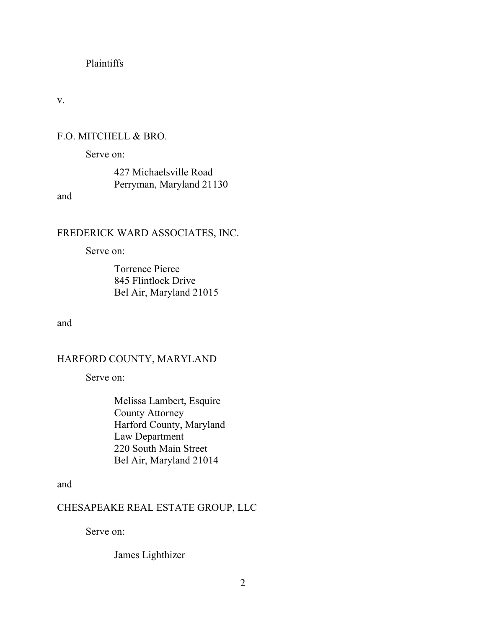## Plaintiffs

v.

## F.O. MITCHELL & BRO.

Serve on:

427 Michaelsville Road Perryman, Maryland 21130

and

## FREDERICK WARD ASSOCIATES, INC.

Serve on:

Torrence Pierce 845 Flintlock Drive Bel Air, Maryland 21015

and

## HARFORD COUNTY, MARYLAND

Serve on:

Melissa Lambert, Esquire County Attorney Harford County, Maryland Law Department 220 South Main Street Bel Air, Maryland 21014

and

## CHESAPEAKE REAL ESTATE GROUP, LLC

Serve on:

James Lighthizer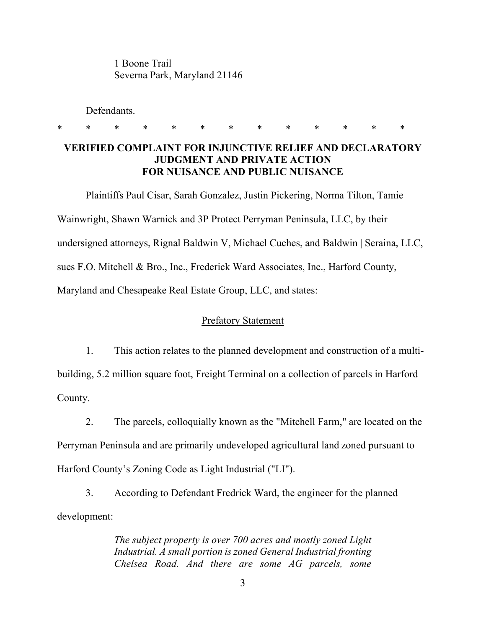1 Boone Trail Severna Park, Maryland 21146

Defendants.

# **VERIFIED COMPLAINT FOR INJUNCTIVE RELIEF AND DECLARATORY JUDGMENT AND PRIVATE ACTION FOR NUISANCE AND PUBLIC NUISANCE**

\* \* \* \* \* \* \* \* \* \* \* \* \*

Plaintiffs Paul Cisar, Sarah Gonzalez, Justin Pickering, Norma Tilton, Tamie Wainwright, Shawn Warnick and 3P Protect Perryman Peninsula, LLC, by their undersigned attorneys, Rignal Baldwin V, Michael Cuches, and Baldwin | Seraina, LLC, sues F.O. Mitchell & Bro., Inc., Frederick Ward Associates, Inc., Harford County, Maryland and Chesapeake Real Estate Group, LLC, and states:

## Prefatory Statement

1. This action relates to the planned development and construction of a multibuilding, 5.2 million square foot, Freight Terminal on a collection of parcels in Harford County.

2. The parcels, colloquially known as the "Mitchell Farm," are located on the Perryman Peninsula and are primarily undeveloped agricultural land zoned pursuant to Harford County's Zoning Code as Light Industrial ("LI").

3. According to Defendant Fredrick Ward, the engineer for the planned development:

> *The subject property is over 700 acres and mostly zoned Light Industrial. A small portion is zoned General Industrial fronting Chelsea Road. And there are some AG parcels, some*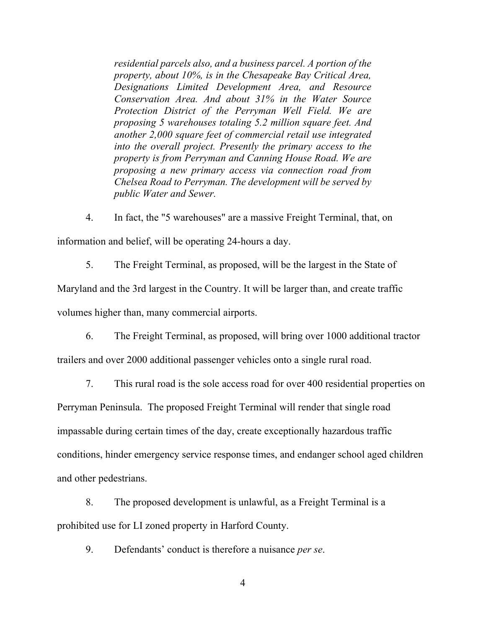*residential parcels also, and a business parcel. A portion of the property, about 10%, is in the Chesapeake Bay Critical Area, Designations Limited Development Area, and Resource Conservation Area. And about 31% in the Water Source Protection District of the Perryman Well Field. We are proposing 5 warehouses totaling 5.2 million square feet. And another 2,000 square feet of commercial retail use integrated into the overall project. Presently the primary access to the property is from Perryman and Canning House Road. We are proposing a new primary access via connection road from Chelsea Road to Perryman. The development will be served by public Water and Sewer.*

4. In fact, the "5 warehouses" are a massive Freight Terminal, that, on information and belief, will be operating 24-hours a day.

5. The Freight Terminal, as proposed, will be the largest in the State of

Maryland and the 3rd largest in the Country. It will be larger than, and create traffic

volumes higher than, many commercial airports.

6. The Freight Terminal, as proposed, will bring over 1000 additional tractor trailers and over 2000 additional passenger vehicles onto a single rural road.

7. This rural road is the sole access road for over 400 residential properties on Perryman Peninsula. The proposed Freight Terminal will render that single road impassable during certain times of the day, create exceptionally hazardous traffic conditions, hinder emergency service response times, and endanger school aged children and other pedestrians.

8. The proposed development is unlawful, as a Freight Terminal is a prohibited use for LI zoned property in Harford County.

9. Defendants' conduct is therefore a nuisance *per se*.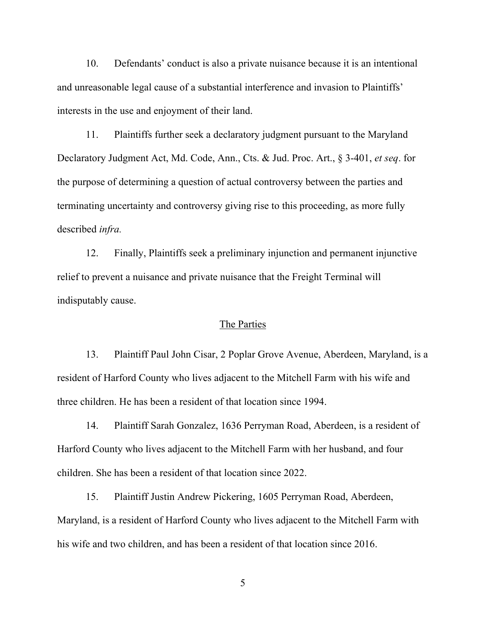10. Defendants' conduct is also a private nuisance because it is an intentional and unreasonable legal cause of a substantial interference and invasion to Plaintiffs' interests in the use and enjoyment of their land.

11. Plaintiffs further seek a declaratory judgment pursuant to the Maryland Declaratory Judgment Act, Md. Code, Ann., Cts. & Jud. Proc. Art., § 3-401, *et seq*. for the purpose of determining a question of actual controversy between the parties and terminating uncertainty and controversy giving rise to this proceeding, as more fully described *infra.*

12. Finally, Plaintiffs seek a preliminary injunction and permanent injunctive relief to prevent a nuisance and private nuisance that the Freight Terminal will indisputably cause.

## The Parties

13. Plaintiff Paul John Cisar, 2 Poplar Grove Avenue, Aberdeen, Maryland, is a resident of Harford County who lives adjacent to the Mitchell Farm with his wife and three children. He has been a resident of that location since 1994.

14. Plaintiff Sarah Gonzalez, 1636 Perryman Road, Aberdeen, is a resident of Harford County who lives adjacent to the Mitchell Farm with her husband, and four children. She has been a resident of that location since 2022.

15. Plaintiff Justin Andrew Pickering, 1605 Perryman Road, Aberdeen, Maryland, is a resident of Harford County who lives adjacent to the Mitchell Farm with his wife and two children, and has been a resident of that location since 2016.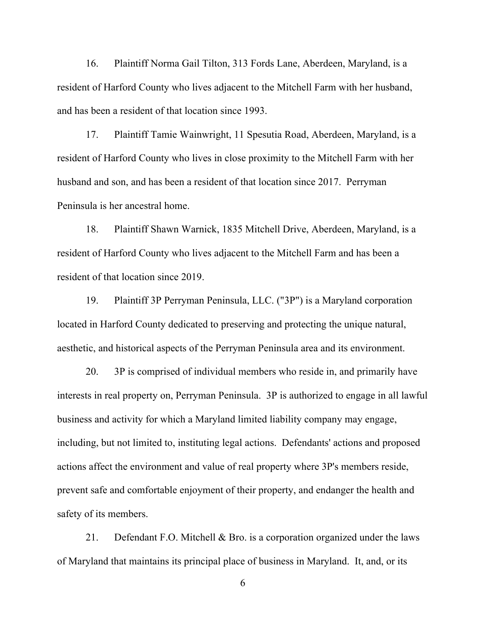16. Plaintiff Norma Gail Tilton, 313 Fords Lane, Aberdeen, Maryland, is a resident of Harford County who lives adjacent to the Mitchell Farm with her husband, and has been a resident of that location since 1993.

17. Plaintiff Tamie Wainwright, 11 Spesutia Road, Aberdeen, Maryland, is a resident of Harford County who lives in close proximity to the Mitchell Farm with her husband and son, and has been a resident of that location since 2017. Perryman Peninsula is her ancestral home.

18. Plaintiff Shawn Warnick, 1835 Mitchell Drive, Aberdeen, Maryland, is a resident of Harford County who lives adjacent to the Mitchell Farm and has been a resident of that location since 2019.

19. Plaintiff 3P Perryman Peninsula, LLC. ("3P") is a Maryland corporation located in Harford County dedicated to preserving and protecting the unique natural, aesthetic, and historical aspects of the Perryman Peninsula area and its environment.

20. 3P is comprised of individual members who reside in, and primarily have interests in real property on, Perryman Peninsula. 3P is authorized to engage in all lawful business and activity for which a Maryland limited liability company may engage, including, but not limited to, instituting legal actions. Defendants' actions and proposed actions affect the environment and value of real property where 3P's members reside, prevent safe and comfortable enjoyment of their property, and endanger the health and safety of its members.

21. Defendant F.O. Mitchell & Bro. is a corporation organized under the laws of Maryland that maintains its principal place of business in Maryland. It, and, or its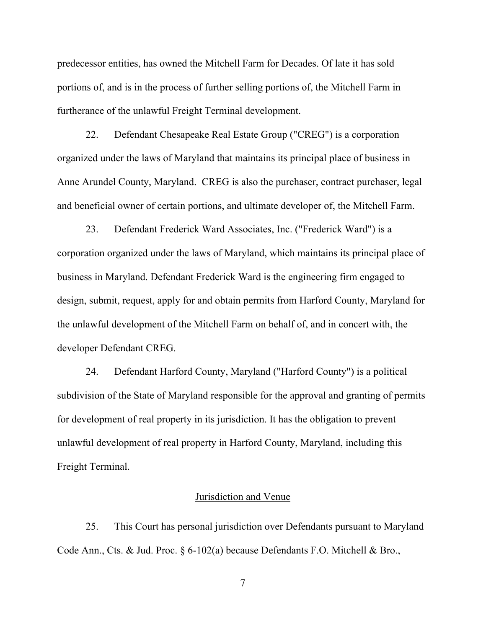predecessor entities, has owned the Mitchell Farm for Decades. Of late it has sold portions of, and is in the process of further selling portions of, the Mitchell Farm in furtherance of the unlawful Freight Terminal development.

22. Defendant Chesapeake Real Estate Group ("CREG") is a corporation organized under the laws of Maryland that maintains its principal place of business in Anne Arundel County, Maryland. CREG is also the purchaser, contract purchaser, legal and beneficial owner of certain portions, and ultimate developer of, the Mitchell Farm.

23. Defendant Frederick Ward Associates, Inc. ("Frederick Ward") is a corporation organized under the laws of Maryland, which maintains its principal place of business in Maryland. Defendant Frederick Ward is the engineering firm engaged to design, submit, request, apply for and obtain permits from Harford County, Maryland for the unlawful development of the Mitchell Farm on behalf of, and in concert with, the developer Defendant CREG.

24. Defendant Harford County, Maryland ("Harford County") is a political subdivision of the State of Maryland responsible for the approval and granting of permits for development of real property in its jurisdiction. It has the obligation to prevent unlawful development of real property in Harford County, Maryland, including this Freight Terminal.

#### Jurisdiction and Venue

25. This Court has personal jurisdiction over Defendants pursuant to Maryland Code Ann., Cts. & Jud. Proc. § 6-102(a) because Defendants F.O. Mitchell & Bro.,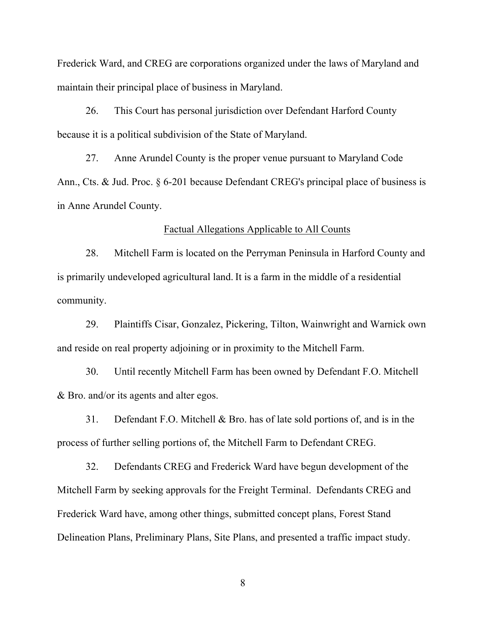Frederick Ward, and CREG are corporations organized under the laws of Maryland and maintain their principal place of business in Maryland.

26. This Court has personal jurisdiction over Defendant Harford County because it is a political subdivision of the State of Maryland.

27. Anne Arundel County is the proper venue pursuant to Maryland Code Ann., Cts. & Jud. Proc. § 6-201 because Defendant CREG's principal place of business is in Anne Arundel County.

#### Factual Allegations Applicable to All Counts

28. Mitchell Farm is located on the Perryman Peninsula in Harford County and is primarily undeveloped agricultural land. It is a farm in the middle of a residential community.

29. Plaintiffs Cisar, Gonzalez, Pickering, Tilton, Wainwright and Warnick own and reside on real property adjoining or in proximity to the Mitchell Farm.

30. Until recently Mitchell Farm has been owned by Defendant F.O. Mitchell & Bro. and/or its agents and alter egos.

31. Defendant F.O. Mitchell & Bro. has of late sold portions of, and is in the process of further selling portions of, the Mitchell Farm to Defendant CREG.

32. Defendants CREG and Frederick Ward have begun development of the Mitchell Farm by seeking approvals for the Freight Terminal. Defendants CREG and Frederick Ward have, among other things, submitted concept plans, Forest Stand Delineation Plans, Preliminary Plans, Site Plans, and presented a traffic impact study.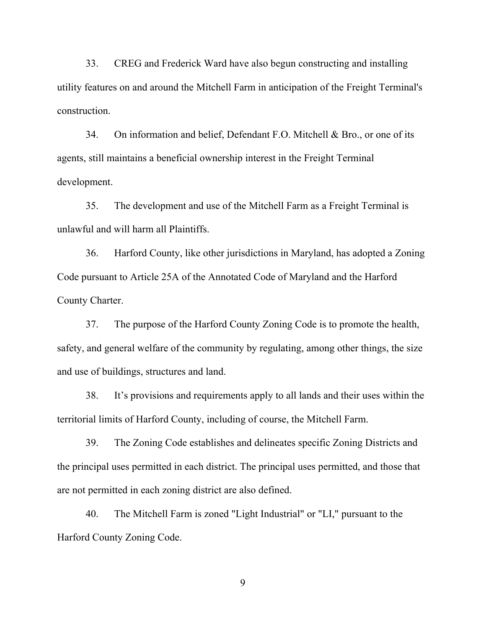33. CREG and Frederick Ward have also begun constructing and installing utility features on and around the Mitchell Farm in anticipation of the Freight Terminal's construction.

34. On information and belief, Defendant F.O. Mitchell & Bro., or one of its agents, still maintains a beneficial ownership interest in the Freight Terminal development.

35. The development and use of the Mitchell Farm as a Freight Terminal is unlawful and will harm all Plaintiffs.

36. Harford County, like other jurisdictions in Maryland, has adopted a Zoning Code pursuant to Article 25A of the Annotated Code of Maryland and the Harford County Charter.

37. The purpose of the Harford County Zoning Code is to promote the health, safety, and general welfare of the community by regulating, among other things, the size and use of buildings, structures and land.

38. It's provisions and requirements apply to all lands and their uses within the territorial limits of Harford County, including of course, the Mitchell Farm.

39. The Zoning Code establishes and delineates specific Zoning Districts and the principal uses permitted in each district. The principal uses permitted, and those that are not permitted in each zoning district are also defined.

40. The Mitchell Farm is zoned "Light Industrial" or "LI," pursuant to the Harford County Zoning Code.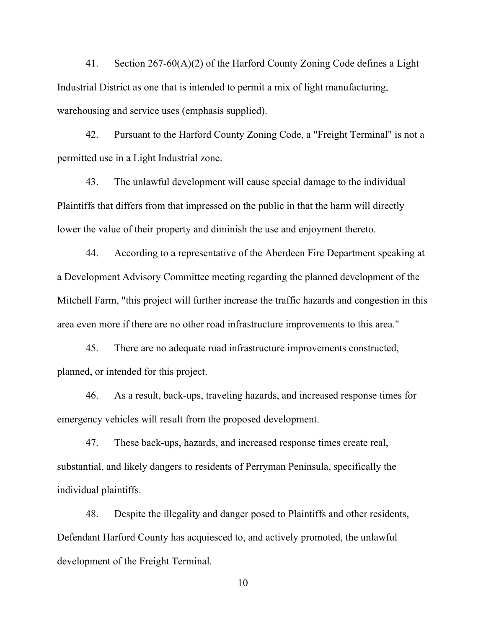41. Section 267-60(A)(2) of the Harford County Zoning Code defines a Light Industrial District as one that is intended to permit a mix of light manufacturing, warehousing and service uses (emphasis supplied).

42. Pursuant to the Harford County Zoning Code, a "Freight Terminal" is not a permitted use in a Light Industrial zone.

43. The unlawful development will cause special damage to the individual Plaintiffs that differs from that impressed on the public in that the harm will directly lower the value of their property and diminish the use and enjoyment thereto.

44. According to a representative of the Aberdeen Fire Department speaking at a Development Advisory Committee meeting regarding the planned development of the Mitchell Farm, "this project will further increase the traffic hazards and congestion in this area even more if there are no other road infrastructure improvements to this area."

45. There are no adequate road infrastructure improvements constructed, planned, or intended for this project.

46. As a result, back-ups, traveling hazards, and increased response times for emergency vehicles will result from the proposed development.

47. These back-ups, hazards, and increased response times create real, substantial, and likely dangers to residents of Perryman Peninsula, specifically the individual plaintiffs.

48. Despite the illegality and danger posed to Plaintiffs and other residents, Defendant Harford County has acquiesced to, and actively promoted, the unlawful development of the Freight Terminal.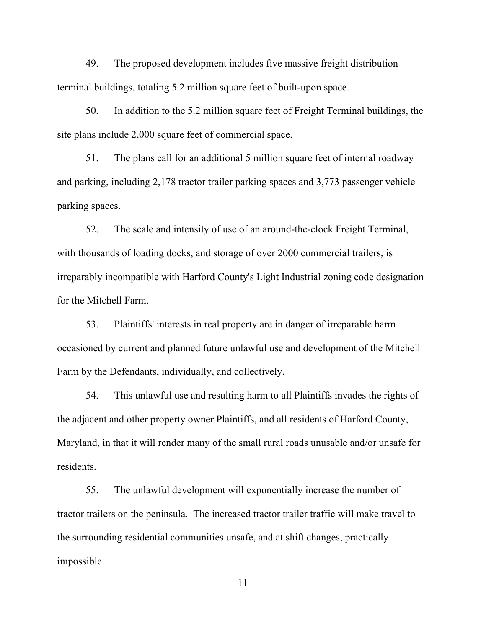49. The proposed development includes five massive freight distribution terminal buildings, totaling 5.2 million square feet of built-upon space.

50. In addition to the 5.2 million square feet of Freight Terminal buildings, the site plans include 2,000 square feet of commercial space.

51. The plans call for an additional 5 million square feet of internal roadway and parking, including 2,178 tractor trailer parking spaces and 3,773 passenger vehicle parking spaces.

52. The scale and intensity of use of an around-the-clock Freight Terminal, with thousands of loading docks, and storage of over 2000 commercial trailers, is irreparably incompatible with Harford County's Light Industrial zoning code designation for the Mitchell Farm.

53. Plaintiffs' interests in real property are in danger of irreparable harm occasioned by current and planned future unlawful use and development of the Mitchell Farm by the Defendants, individually, and collectively.

54. This unlawful use and resulting harm to all Plaintiffs invades the rights of the adjacent and other property owner Plaintiffs, and all residents of Harford County, Maryland, in that it will render many of the small rural roads unusable and/or unsafe for residents.

55. The unlawful development will exponentially increase the number of tractor trailers on the peninsula. The increased tractor trailer traffic will make travel to the surrounding residential communities unsafe, and at shift changes, practically impossible.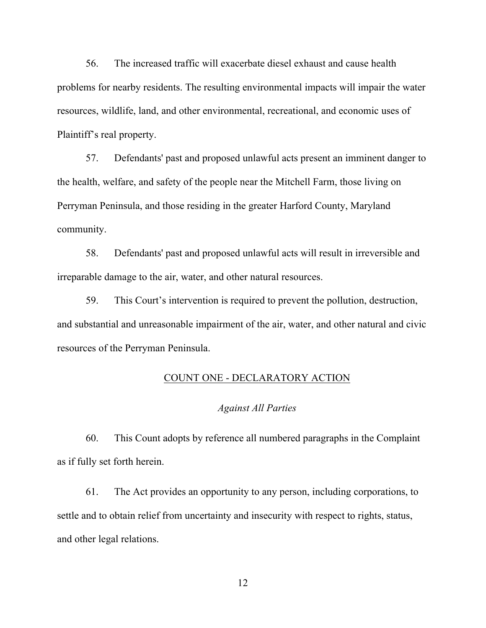56. The increased traffic will exacerbate diesel exhaust and cause health problems for nearby residents. The resulting environmental impacts will impair the water resources, wildlife, land, and other environmental, recreational, and economic uses of Plaintiff's real property.

57. Defendants' past and proposed unlawful acts present an imminent danger to the health, welfare, and safety of the people near the Mitchell Farm, those living on Perryman Peninsula, and those residing in the greater Harford County, Maryland community.

58. Defendants' past and proposed unlawful acts will result in irreversible and irreparable damage to the air, water, and other natural resources.

59. This Court's intervention is required to prevent the pollution, destruction, and substantial and unreasonable impairment of the air, water, and other natural and civic resources of the Perryman Peninsula.

#### COUNT ONE - DECLARATORY ACTION

#### *Against All Parties*

60. This Count adopts by reference all numbered paragraphs in the Complaint as if fully set forth herein.

61. The Act provides an opportunity to any person, including corporations, to settle and to obtain relief from uncertainty and insecurity with respect to rights, status, and other legal relations.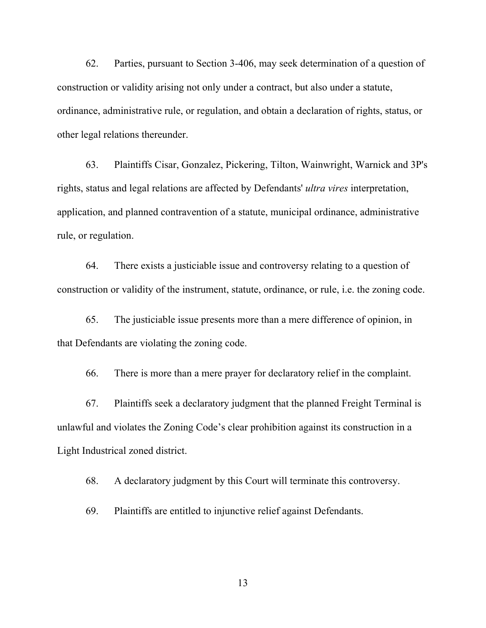62. Parties, pursuant to Section 3-406, may seek determination of a question of construction or validity arising not only under a contract, but also under a statute, ordinance, administrative rule, or regulation, and obtain a declaration of rights, status, or other legal relations thereunder.

63. Plaintiffs Cisar, Gonzalez, Pickering, Tilton, Wainwright, Warnick and 3P's rights, status and legal relations are affected by Defendants' *ultra vires* interpretation, application, and planned contravention of a statute, municipal ordinance, administrative rule, or regulation.

64. There exists a justiciable issue and controversy relating to a question of construction or validity of the instrument, statute, ordinance, or rule, i.e. the zoning code.

65. The justiciable issue presents more than a mere difference of opinion, in that Defendants are violating the zoning code.

66. There is more than a mere prayer for declaratory relief in the complaint.

67. Plaintiffs seek a declaratory judgment that the planned Freight Terminal is unlawful and violates the Zoning Code's clear prohibition against its construction in a Light Industrical zoned district.

68. A declaratory judgment by this Court will terminate this controversy.

69. Plaintiffs are entitled to injunctive relief against Defendants.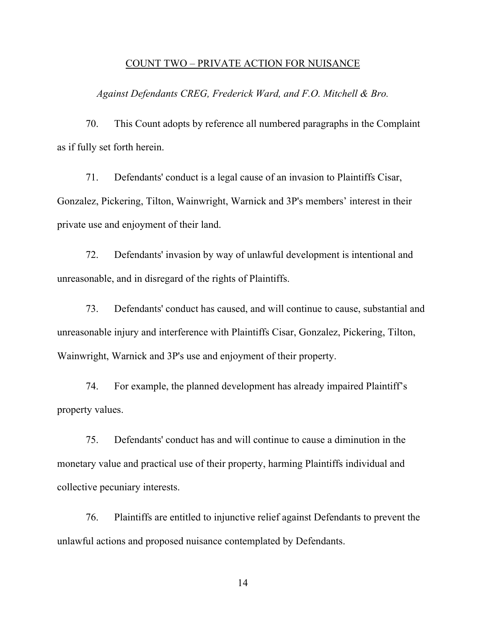#### COUNT TWO – PRIVATE ACTION FOR NUISANCE

*Against Defendants CREG, Frederick Ward, and F.O. Mitchell & Bro.*

70. This Count adopts by reference all numbered paragraphs in the Complaint as if fully set forth herein.

71. Defendants' conduct is a legal cause of an invasion to Plaintiffs Cisar, Gonzalez, Pickering, Tilton, Wainwright, Warnick and 3P's members' interest in their private use and enjoyment of their land.

72. Defendants' invasion by way of unlawful development is intentional and unreasonable, and in disregard of the rights of Plaintiffs.

73. Defendants' conduct has caused, and will continue to cause, substantial and unreasonable injury and interference with Plaintiffs Cisar, Gonzalez, Pickering, Tilton, Wainwright, Warnick and 3P's use and enjoyment of their property.

74. For example, the planned development has already impaired Plaintiff's property values.

75. Defendants' conduct has and will continue to cause a diminution in the monetary value and practical use of their property, harming Plaintiffs individual and collective pecuniary interests.

76. Plaintiffs are entitled to injunctive relief against Defendants to prevent the unlawful actions and proposed nuisance contemplated by Defendants.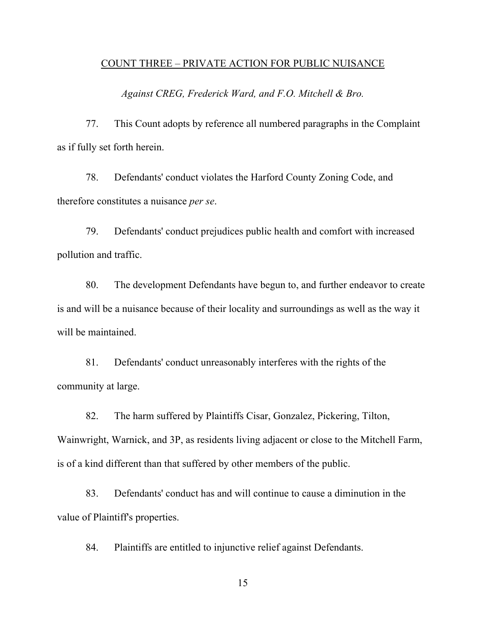#### COUNT THREE – PRIVATE ACTION FOR PUBLIC NUISANCE

*Against CREG, Frederick Ward, and F.O. Mitchell & Bro.*

77. This Count adopts by reference all numbered paragraphs in the Complaint as if fully set forth herein.

78. Defendants' conduct violates the Harford County Zoning Code, and therefore constitutes a nuisance *per se*.

79. Defendants' conduct prejudices public health and comfort with increased pollution and traffic.

80. The development Defendants have begun to, and further endeavor to create is and will be a nuisance because of their locality and surroundings as well as the way it will be maintained.

81. Defendants' conduct unreasonably interferes with the rights of the community at large.

82. The harm suffered by Plaintiffs Cisar, Gonzalez, Pickering, Tilton, Wainwright, Warnick, and 3P, as residents living adjacent or close to the Mitchell Farm, is of a kind different than that suffered by other members of the public.

83. Defendants' conduct has and will continue to cause a diminution in the value of Plaintiff's properties.

84. Plaintiffs are entitled to injunctive relief against Defendants.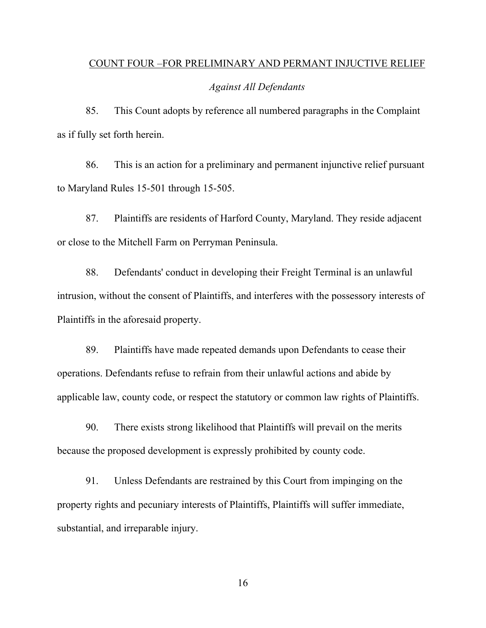# COUNT FOUR –FOR PRELIMINARY AND PERMANT INJUCTIVE RELIEF

#### *Against All Defendants*

85. This Count adopts by reference all numbered paragraphs in the Complaint as if fully set forth herein.

86. This is an action for a preliminary and permanent injunctive relief pursuant to Maryland Rules 15-501 through 15-505.

87. Plaintiffs are residents of Harford County, Maryland. They reside adjacent or close to the Mitchell Farm on Perryman Peninsula.

88. Defendants' conduct in developing their Freight Terminal is an unlawful intrusion, without the consent of Plaintiffs, and interferes with the possessory interests of Plaintiffs in the aforesaid property.

89. Plaintiffs have made repeated demands upon Defendants to cease their operations. Defendants refuse to refrain from their unlawful actions and abide by applicable law, county code, or respect the statutory or common law rights of Plaintiffs.

90. There exists strong likelihood that Plaintiffs will prevail on the merits because the proposed development is expressly prohibited by county code.

91. Unless Defendants are restrained by this Court from impinging on the property rights and pecuniary interests of Plaintiffs, Plaintiffs will suffer immediate, substantial, and irreparable injury.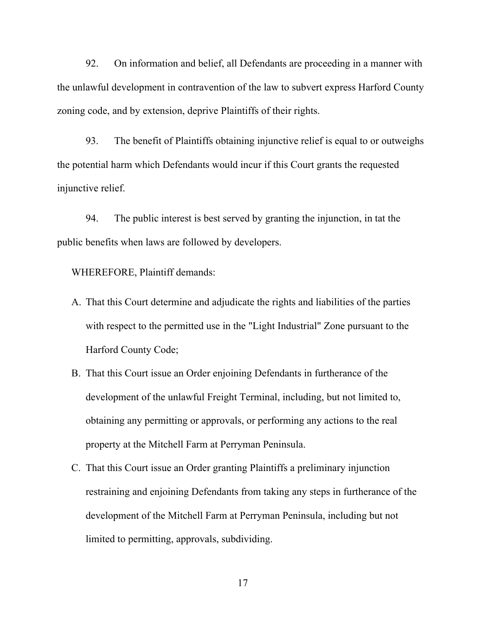92. On information and belief, all Defendants are proceeding in a manner with the unlawful development in contravention of the law to subvert express Harford County zoning code, and by extension, deprive Plaintiffs of their rights.

93. The benefit of Plaintiffs obtaining injunctive relief is equal to or outweighs the potential harm which Defendants would incur if this Court grants the requested injunctive relief.

94. The public interest is best served by granting the injunction, in tat the public benefits when laws are followed by developers.

WHEREFORE, Plaintiff demands:

- A. That this Court determine and adjudicate the rights and liabilities of the parties with respect to the permitted use in the "Light Industrial" Zone pursuant to the Harford County Code;
- B. That this Court issue an Order enjoining Defendants in furtherance of the development of the unlawful Freight Terminal, including, but not limited to, obtaining any permitting or approvals, or performing any actions to the real property at the Mitchell Farm at Perryman Peninsula.
- C. That this Court issue an Order granting Plaintiffs a preliminary injunction restraining and enjoining Defendants from taking any steps in furtherance of the development of the Mitchell Farm at Perryman Peninsula, including but not limited to permitting, approvals, subdividing.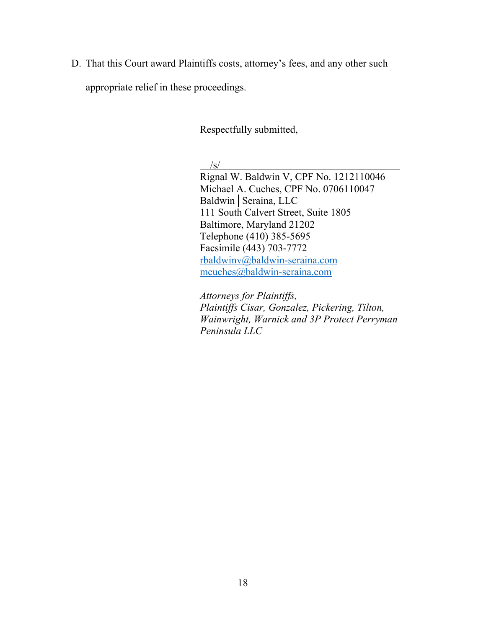D. That this Court award Plaintiffs costs, attorney's fees, and any other such appropriate relief in these proceedings.

Respectfully submitted,

/s/

Rignal W. Baldwin V, CPF No. 1212110046 Michael A. Cuches, CPF No. 0706110047 Baldwin│Seraina, LLC 111 South Calvert Street, Suite 1805 Baltimore, Maryland 21202 Telephone (410) 385-5695 Facsimile (443) 703-7772 rbaldwinv@baldwin-seraina.com mcuches@baldwin-seraina.com

*Attorneys for Plaintiffs, Plaintiffs Cisar, Gonzalez, Pickering, Tilton, Wainwright, Warnick and 3P Protect Perryman Peninsula LLC*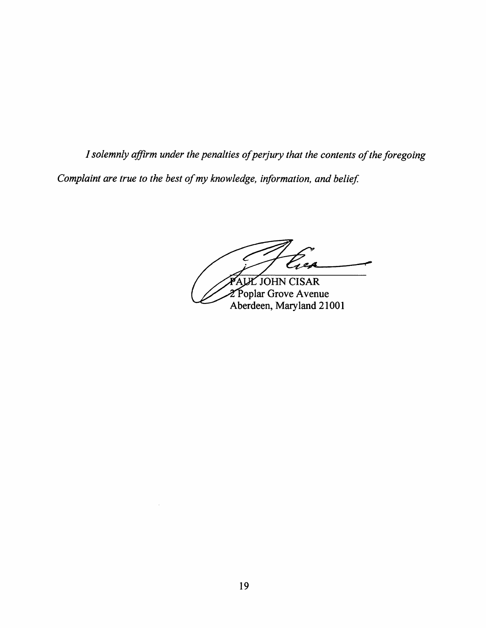ALLE JOHN CISAR

2 Poplar Grove Avenue<br>Aberdeen, Maryland 21001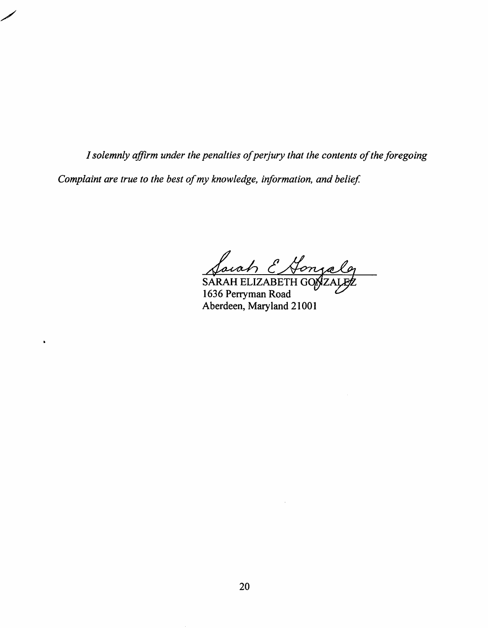$\bullet$ 

arah E Honza

SARAH ELIZABETH GOAZ 1636 Perryman Road Aberdeen, Maryland 21001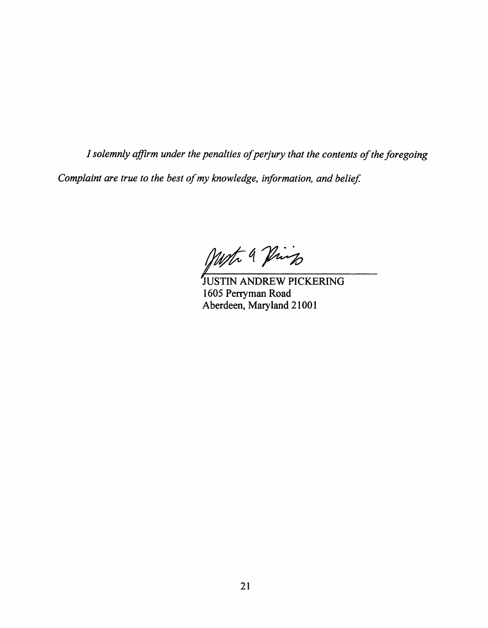Most 9 Pings

JUSTIN ANDREW PICKERING 1605 Perryman Road Aberdeen, Maryland 21001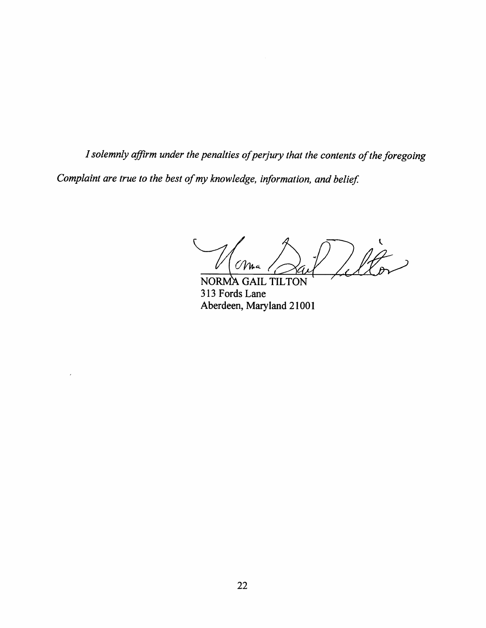$\hat{\mathscr{H}}$ 

NORMA GAIL TILTON 313 Fords Lane Aberdeen, Maryland 21001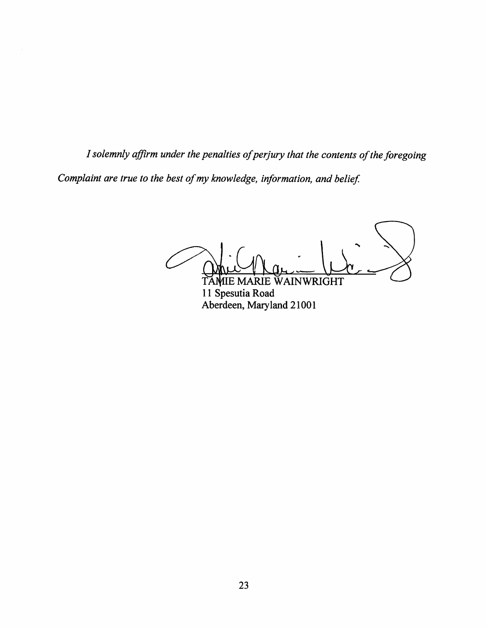TAMIE MARIE WAINWRIGHT

11 Spesutia Road Aberdeen, Maryland 21001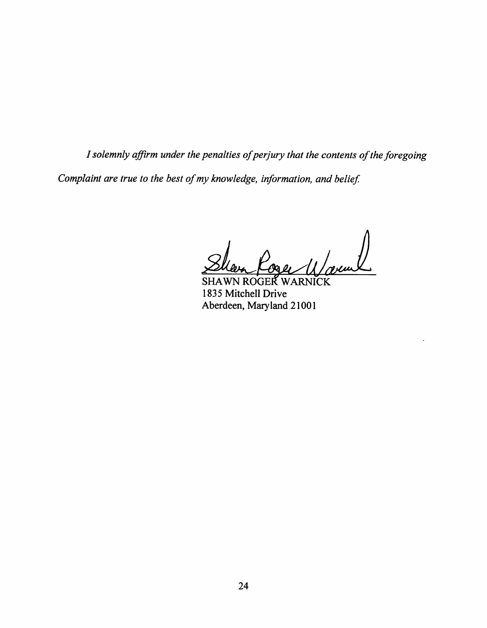**SHAWN ROGER WARNICK** 1835 Mitchell Drive Aberdeen, Maryland 21001